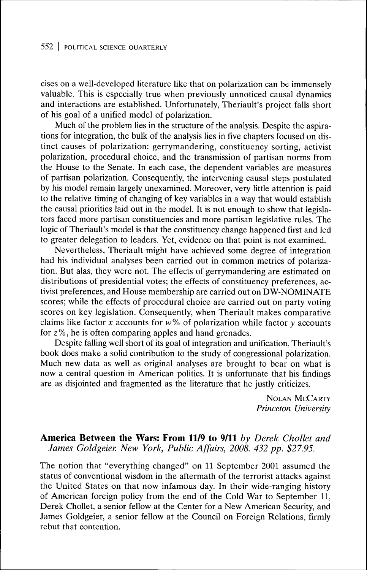## 552 | POLITICAL SCIENCE OUARTERLY

cises on a well-developed literature like that on polarization can be immensely valuable. This is especially true when previously unnoticed causal dynamics and interactions are established. Unfortunately, Theriault's project falls short of his goal of a unified model of polarization.

Much of the problem lies in the structure of the analysis. Despite the aspirations for integration, the bulk of the analysis lies in five chapters focused on distinct causes of polarization: gerrymandering, constituency sorting, activist polarization, procedural choice, and the transmission of partisan norms from the House to the Senate. In each case, the dependent variables are measures of partisan polarization. Consequently, the intervening causal steps postulated by his model remain largely unexamined. Moreover, very little attention is paid to the relative timing of changing of key variables in a way that would establish the causal priorities laid out in the model. It is not enough to show that legislators faced more partisan constituencies and more partisan legislative rules. The logic of Theriault's model is that the constituency change happened first and led to greater delegation to leaders. Yet, evidence on that point is not examined.

Nevertheless, Theriault might have achieved some degree of integration had his individual analyses been carried out in common metrics of polarization. But alas, they were not. The effects of gerrymandering are estimated on distributions of presidential votes; the effects of constituency preferences, activist preferences, and House membership are carried out on DW-NOMINATE scores; while the effects of procedural choice are carried out on party voting scores on key legislation. Consequently, when Theriault makes comparative claims like factor *x* accounts for *w% oí* polarization while factor *y* accounts for  $z\%$ , he is often comparing apples and hand grenades.

Despite falling well short of its goal of integration and unification, Theriault's book does make a solid contribution to the study of congressional polarization. Much new data as well as original analyses are brought to bear on what is now a central question in American politics. It is unfortunate that his findings are as disjointed and fragmented as the literature that he justly criticizes.

> NOLAN MCCARTY **Princeton University**

## **America Between the Wars: From 11/9 to 9/11** *by Derek Chollet and James Goldgeier. New York, Public Affairs, 2008. 432 pp. \$27.95.*

The notion that "everything changed" on 11 September 2001 assumed the status of conventional wisdom in the aftermath of the terrorist attacks against the United States on that now infamous day. In their wide-ranging history of American foreign policy from the end of the Cold War to September 11, Derek Chollet, a senior fellow at the Center for a New American Security, and James Goldgeier, a senior fellow at the Council on Foreign Relations, firmly rebut that contention.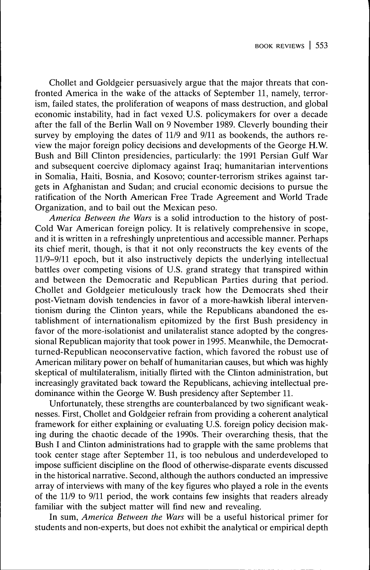Chollet and Goldgeier persuasively argue that the major threats that confronted America in the wake of the attacks of September 11, namely, terrorism, failed states, the proliferation of weapons of mass destruction, and global economic instability, had in fact vexed U.S. policymakers for over a decade after the fall of the Berlin Wall on 9 November 1989. Cleverly bounding their survey by employing the dates of 11/9 and 9/11 as bookends, the authors review the major foreign policy decisions and developments of the George H.W. Bush and Bill Clinton presidencies, particularly: the 1991 Persian Gulf War and subsequent coercive diplomacy against Iraq; humanitarian interventions in Somalia, Haiti, Bosnia, and Kosovo; counter-terrorism strikes against targets in Afghanistan and Sudan; and crucial economic decisions to pursue the ratification of the North American Free Trade Agreement and World Trade Organization, and to bail out the Mexican peso.

*America Between the Wars* is a solid introduction to the history of post-Cold War American foreign policy. It is relatively comprehensive in scope, and it is written in a refreshingly unpretentious and accessible manner. Perhaps its chief merit, though, is that it not only reconstructs the key events of the 11/9-9/11 epoch, but it also instructively depicts the underlying intellectual battles over competing visions of U.S. grand strategy that transpired within and between the Democratic and Republican Parties during that period. Chollet and Goldgeier meticulously track how the Democrats shed their post-Vietnam dovish tendencies in favor of a more-hawkish liberal interventionism during the Clinton years, while the Republicans abandoned the establishment of internationalism epitomized by the first Bush presidency in favor of the more-isolationist and unilateralist stance adopted by the congressional Republican majority that took power in 1995. Meanwhile, the Democratturned-Republican neoconservative faction, which favored the robust use of American military power on behalf of humanitarian causes, but which was highly skeptical of multilateralism, initially flirted with the Clinton administration, but increasingly gravitated back toward the Republicans, achieving intellectual predominance within the George W. Bush presidency after September 11.

Unfortunately, these strengths are counterbalanced by two significant weaknesses. First, Chollet and Goldgeier refrain from providing a coherent analytical framework for either explaining or evaluating U.S. foreign policy decision making during the chaotic decade of the 1990s. Their overarching thesis, that the Bush I and Clinton administrations had to grapple with the same problems that took center stage after September 11, is too nebulous and underdeveloped to impose sufficient discipline on the flood of otherwise-disparate events discussed in the historical narrative. Second, although the authors conducted an impressive array of interviews with many of the key figures who played a role in the events of the 11/9 to 9/11 period, the work contains few insights that readers already familiar with the subject matter will find new and revealing.

In sum, *America Between the Wars* will be a useful historical primer for students and non-experts, but does not exhibit the analytical or empirical depth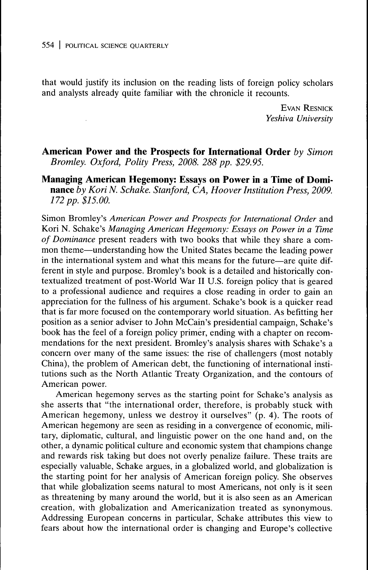that would justify its inclusion on the reading lists of foreign policy scholars and analysts already quite familiar with the chronicle it recounts.

> EVAN RESNICK *Yeshiva University*

**American Power and the Prospects for International Order** *by Simon Bromley. Oxford, Polity Press, 2008. 288 pp. \$29.95.*

**Managing American Hegemony: Essays on Power in a Time of Dominance** *by Kori N. Schake. Stanford, CA, Hoover Institution Press, 2009. 172 pp. \$15.00.*

Simon Bromley's *American Power and Prospects for International Order* and Kori N. Schake's *Managing American Hegemony: Essays on Power in a Time of Dominance* present readers with two books that while they share a common theme—understanding how the United States became the leading power in the international system and what this means for the future—are quite different in style and purpose. Bromley's book is a detailed and historically contextualized treatment of post-World War II U.S. foreign policy that is geared to a professional audience and requires a close reading in order to gain an appreciation for the fullness of his argument. Schake's book is a quicker read that is far more focused on the contemporary world situation. As befitting her position as a senior adviser to John McCain's presidential campaign, Schake's book has the feel of a foreign policy primer, ending with a chapter on recommendations for the next president. Bromley's analysis shares with Schake's a concern over many of the same issues: the rise of challengers (most notably China), the problem of American debt, the functioning of international institutions such as the North Atlantic Treaty Organization, and the contours of American power.

American hegemony serves as the starting point for Schake's analysis as she asserts that "the international order, therefore, is probably stuck with American hegemony, unless we destroy it ourselves"  $(p. 4)$ . The roots of American hegemony are seen as residing in a convergence of economic, military, diplomatic, cultural, and linguistic power on the one hand and, on the other, a dynamic political culture and economic system that champions change and rewards risk taking but does not overly penalize failure. These traits are especially valuable, Schake argues, in a globalized world, and globalization is the starting point for her analysis of American foreign policy. She observes that while globalization seems natural to most Americans, not only is it seen as threatening by many around the world, but it is also seen as an American creation, with globalization and Americanization treated as synonymous. Addressing European concerns in particular, Schake attributes this view to fears about how the international order is changing and Europe's collective